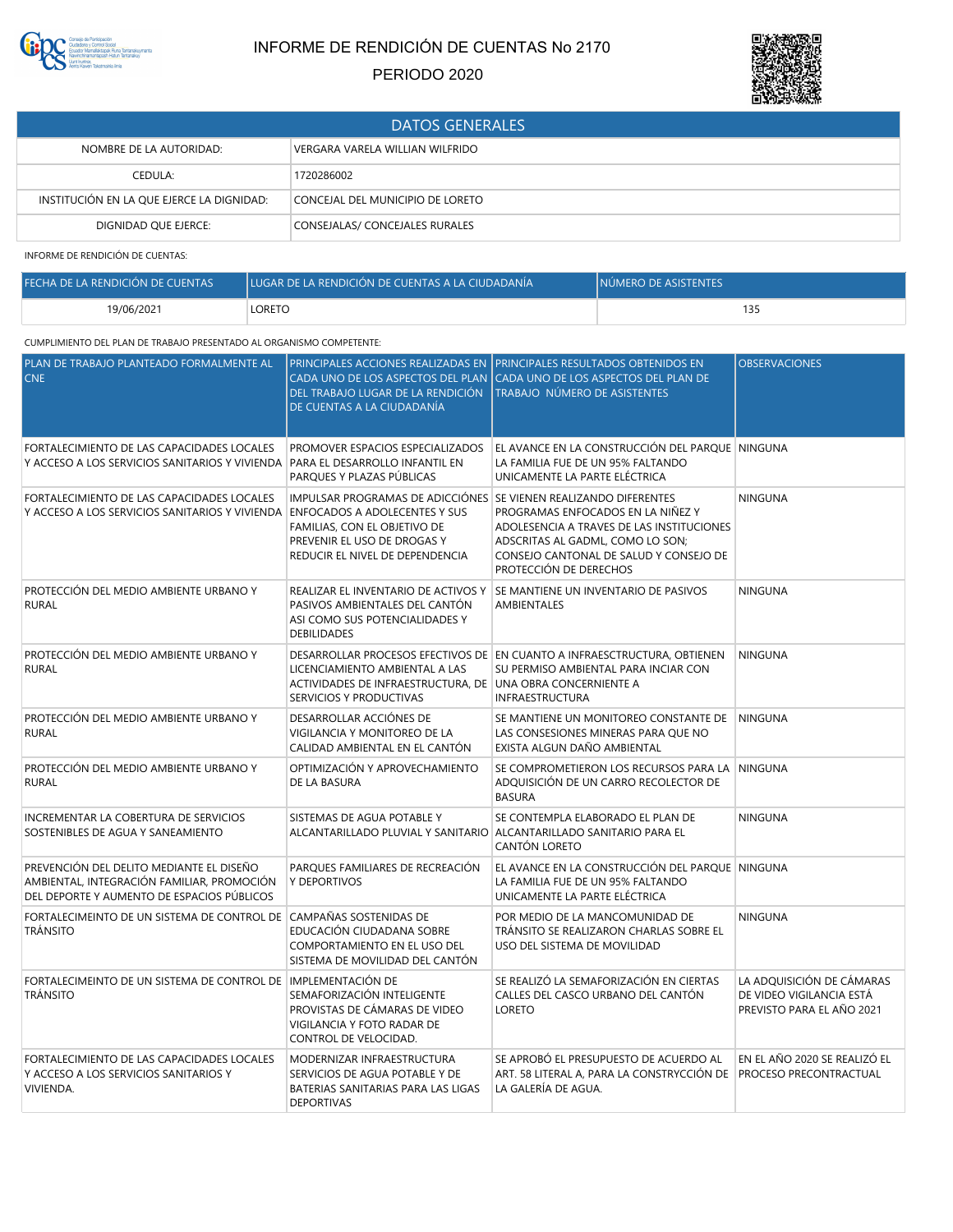

# INFORME DE RENDICIÓN DE CUENTAS No 2170

## PERIODO 2020



| <b>DATOS GENERALES</b>                                     |                                  |  |
|------------------------------------------------------------|----------------------------------|--|
| VERGARA VARELA WILLIAN WILFRIDO<br>NOMBRE DE LA AUTORIDAD: |                                  |  |
| CEDULA:                                                    | 1720286002                       |  |
| INSTITUCIÓN EN LA QUE EJERCE LA DIGNIDAD:                  | CONCEJAL DEL MUNICIPIO DE LORETO |  |
| DIGNIDAD QUE EJERCE:                                       | CONSEJALAS/ CONCEJALES RURALES   |  |

INFORME DE RENDICIÓN DE CUENTAS:

| FECHA DE LA RENDICIÓN DE CUENTAS | <b>ILUGAR DE LA RENDICIÓN DE CUENTAS A LA CIUDADANÍA</b> | INÚMERO DE ASISTENTES |
|----------------------------------|----------------------------------------------------------|-----------------------|
| 19/06/2021                       | LORETO                                                   |                       |

### CUMPLIMIENTO DEL PLAN DE TRABAJO PRESENTADO AL ORGANISMO COMPETENTE:

| PLAN DE TRABAJO PLANTEADO FORMALMENTE AL<br><b>CNE</b>                                                                               | DEL TRABAJO LUGAR DE LA RENDICIÓN<br>DE CUENTAS A LA CIUDADANÍA                                                                                                                                            | PRINCIPALES ACCIONES REALIZADAS EN PRINCIPALES RESULTADOS OBTENIDOS EN<br>CADA UNO DE LOS ASPECTOS DEL PLAN CADA UNO DE LOS ASPECTOS DEL PLAN DE<br>TRABAJO NÚMERO DE ASISTENTES       | <b>OBSERVACIONES</b>                                                               |
|--------------------------------------------------------------------------------------------------------------------------------------|------------------------------------------------------------------------------------------------------------------------------------------------------------------------------------------------------------|----------------------------------------------------------------------------------------------------------------------------------------------------------------------------------------|------------------------------------------------------------------------------------|
| FORTALECIMIENTO DE LAS CAPACIDADES LOCALES<br>Y ACCESO A LOS SERVICIOS SANITARIOS Y VIVIENDA                                         | PROMOVER ESPACIOS ESPECIALIZADOS<br>PARA EL DESARROLLO INFANTIL EN<br>PARQUES Y PLAZAS PÚBLICAS                                                                                                            | EL AVANCE EN LA CONSTRUCCIÓN DEL PARQUE NINGUNA<br>LA FAMILIA FUE DE UN 95% FALTANDO<br>UNICAMENTE LA PARTE ELÉCTRICA                                                                  |                                                                                    |
| FORTALECIMIENTO DE LAS CAPACIDADES LOCALES<br>Y ACCESO A LOS SERVICIOS SANITARIOS Y VIVIENDA                                         | IMPULSAR PROGRAMAS DE ADICCIÓNES SE VIENEN REALIZANDO DIFERENTES<br><b>ENFOCADOS A ADOLECENTES Y SUS</b><br>FAMILIAS, CON EL OBJETIVO DE<br>PREVENIR EL USO DE DROGAS Y<br>REDUCIR EL NIVEL DE DEPENDENCIA | PROGRAMAS ENFOCADOS EN LA NIÑEZ Y<br>ADOLESENCIA A TRAVES DE LAS INSTITUCIONES<br>ADSCRITAS AL GADML, COMO LO SON;<br>CONSEJO CANTONAL DE SALUD Y CONSEJO DE<br>PROTECCIÓN DE DERECHOS | <b>NINGUNA</b>                                                                     |
| PROTECCIÓN DEL MEDIO AMBIENTE URBANO Y<br><b>RURAL</b>                                                                               | REALIZAR EL INVENTARIO DE ACTIVOS Y<br>PASIVOS AMBIENTALES DEL CANTÓN<br>ASI COMO SUS POTENCIALIDADES Y<br><b>DEBILIDADES</b>                                                                              | SE MANTIENE UN INVENTARIO DE PASIVOS<br>AMBIENTALES                                                                                                                                    | <b>NINGUNA</b>                                                                     |
| PROTECCIÓN DEL MEDIO AMBIENTE URBANO Y<br><b>RURAL</b>                                                                               | LICENCIAMIENTO AMBIENTAL A LAS<br>ACTIVIDADES DE INFRAESTRUCTURA, DE UNA OBRA CONCERNIENTE A<br>SERVICIOS Y PRODUCTIVAS                                                                                    | DESARROLLAR PROCESOS EFECTIVOS DE EN CUANTO A INFRAESCTRUCTURA, OBTIENEN<br>SU PERMISO AMBIENTAL PARA INCIAR CON<br><b>INFRAESTRUCTURA</b>                                             | NINGUNA                                                                            |
| PROTECCIÓN DEL MEDIO AMBIENTE URBANO Y<br><b>RURAL</b>                                                                               | DESARROLLAR ACCIÓNES DE<br>VIGILANCIA Y MONITOREO DE LA<br>CALIDAD AMBIENTAL EN EL CANTÓN                                                                                                                  | SE MANTIENE UN MONITOREO CONSTANTE DE<br>LAS CONSESIONES MINERAS PARA QUE NO<br>EXISTA ALGUN DAÑO AMBIENTAL                                                                            | <b>NINGUNA</b>                                                                     |
| PROTECCIÓN DEL MEDIO AMBIENTE URBANO Y<br><b>RURAL</b>                                                                               | OPTIMIZACIÓN Y APROVECHAMIENTO<br>DE LA BASURA                                                                                                                                                             | SE COMPROMETIERON LOS RECURSOS PARA LA NINGUNA<br>ADQUISICIÓN DE UN CARRO RECOLECTOR DE<br><b>BASURA</b>                                                                               |                                                                                    |
| INCREMENTAR LA COBERTURA DE SERVICIOS<br>SOSTENIBLES DE AGUA Y SANEAMIENTO                                                           | SISTEMAS DE AGUA POTABLE Y<br>ALCANTARILLADO PLUVIAL Y SANITARIO ALCANTARILLADO SANITARIO PARA EL                                                                                                          | SE CONTEMPLA ELABORADO EL PLAN DE<br>CANTÓN LORETO                                                                                                                                     | <b>NINGUNA</b>                                                                     |
| PREVENCIÓN DEL DELITO MEDIANTE EL DISEÑO<br>AMBIENTAL, INTEGRACIÓN FAMILIAR, PROMOCIÓN<br>DEL DEPORTE Y AUMENTO DE ESPACIOS PÚBLICOS | PARQUES FAMILIARES DE RECREACIÓN<br>Y DEPORTIVOS                                                                                                                                                           | EL AVANCE EN LA CONSTRUCCIÓN DEL PARQUE NINGUNA<br>LA FAMILIA FUE DE UN 95% FALTANDO<br>UNICAMENTE LA PARTE ELÉCTRICA                                                                  |                                                                                    |
| FORTALECIMEINTO DE UN SISTEMA DE CONTROL DE<br><b>TRÁNSITO</b>                                                                       | CAMPAÑAS SOSTENIDAS DE<br>EDUCACIÓN CIUDADANA SOBRE<br>COMPORTAMIENTO EN EL USO DEL<br>SISTEMA DE MOVILIDAD DEL CANTÓN                                                                                     | POR MEDIO DE LA MANCOMUNIDAD DE<br>TRÁNSITO SE REALIZARON CHARLAS SOBRE EL<br>USO DEL SISTEMA DE MOVILIDAD                                                                             | <b>NINGUNA</b>                                                                     |
| FORTALECIMEINTO DE UN SISTEMA DE CONTROL DE LIMPLEMENTACIÓN DE<br><b>TRÁNSITO</b>                                                    | SEMAFORIZACIÓN INTELIGENTE<br>PROVISTAS DE CÁMARAS DE VIDEO<br>VIGILANCIA Y FOTO RADAR DE<br>CONTROL DE VELOCIDAD.                                                                                         | SE REALIZÓ LA SEMAFORIZACIÓN EN CIERTAS<br>CALLES DEL CASCO URBANO DEL CANTÓN<br><b>LORETO</b>                                                                                         | LA ADOUISICIÓN DE CÁMARAS<br>DE VIDEO VIGILANCIA ESTÁ<br>PREVISTO PARA EL AÑO 2021 |
| FORTALECIMIENTO DE LAS CAPACIDADES LOCALES<br>Y ACCESO A LOS SERVICIOS SANITARIOS Y<br>VIVIENDA.                                     | MODERNIZAR INFRAESTRUCTURA<br>SERVICIOS DE AGUA POTABLE Y DE<br>BATERIAS SANITARIAS PARA LAS LIGAS<br><b>DEPORTIVAS</b>                                                                                    | SE APROBÓ EL PRESUPUESTO DE ACUERDO AL<br>ART. 58 LITERAL A, PARA LA CONSTRYCCIÓN DE PROCESO PRECONTRACTUAL<br>LA GALERÍA DE AGUA.                                                     | EN EL AÑO 2020 SE REALIZÓ EL                                                       |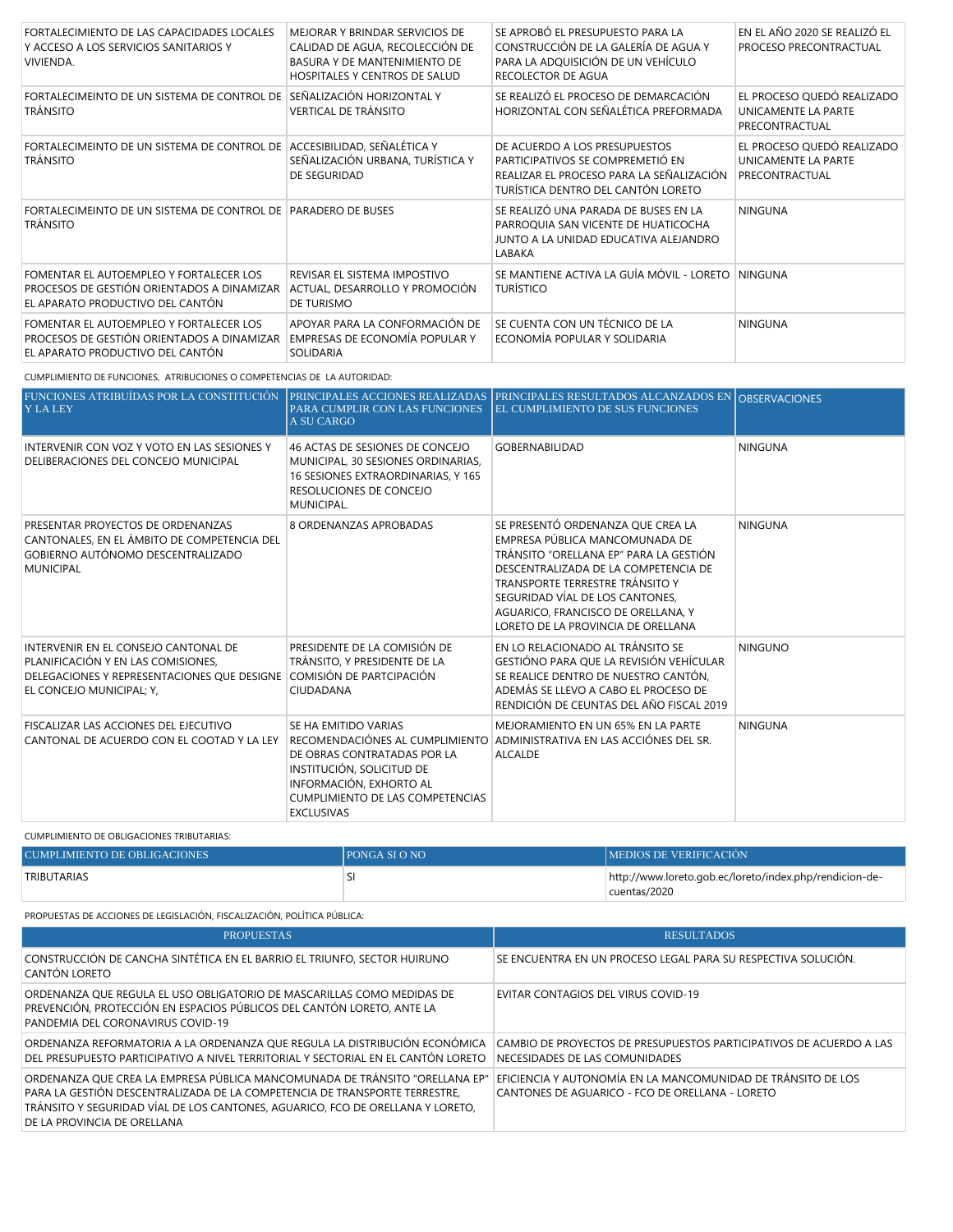| FORTALECIMIENTO DE LAS CAPACIDADES LOCALES<br>Y ACCESO A LOS SERVICIOS SANITARIOS Y<br>VIVIENDA.                          | MEJORAR Y BRINDAR SERVICIOS DE<br>CALIDAD DE AGUA, RECOLECCIÓN DE<br>BASURA Y DE MANTENIMIENTO DE<br>HOSPITALES Y CENTROS DE SALUD | SE APROBÓ EL PRESUPUESTO PARA LA<br>CONSTRUCCIÓN DE LA GALERÍA DE AGUA Y<br>PARA LA ADQUISICIÓN DE UN VEHÍCULO<br>RECOLECTOR DE AGUA                | EN EL AÑO 2020 SE REALIZÓ EL<br>PROCESO PRECONTRACTUAL              |
|---------------------------------------------------------------------------------------------------------------------------|------------------------------------------------------------------------------------------------------------------------------------|-----------------------------------------------------------------------------------------------------------------------------------------------------|---------------------------------------------------------------------|
| FORTALECIMEINTO DE UN SISTEMA DE CONTROL DE<br><b>TRÁNSITO</b>                                                            | SEÑALIZACIÓN HORIZONTAL Y<br><b>VERTICAL DE TRÁNSITO</b>                                                                           | SE REALIZÓ EL PROCESO DE DEMARCACIÓN<br>HORIZONTAL CON SEÑALÉTICA PREFORMADA                                                                        | EL PROCESO QUEDÓ REALIZADO<br>UNICAMENTE LA PARTE<br>PRECONTRACTUAL |
| FORTALECIMEINTO DE UN SISTEMA DE CONTROL DE ACCESIBILIDAD, SEÑALÉTICA Y<br><b>TRÁNSITO</b>                                | SEÑALIZACIÓN URBANA, TURÍSTICA Y<br>DE SEGURIDAD                                                                                   | DE ACUERDO A LOS PRESUPUESTOS<br>PARTICIPATIVOS SE COMPREMETIÓ EN<br>REALIZAR EL PROCESO PARA LA SEÑALIZACIÓN<br>TURÍSTICA DENTRO DEL CANTÓN LORETO | EL PROCESO QUEDÓ REALIZADO<br>UNICAMENTE LA PARTE<br>PRECONTRACTUAL |
| FORTALECIMEINTO DE UN SISTEMA DE CONTROL DE PARADERO DE BUSES<br><b>TRÁNSITO</b>                                          |                                                                                                                                    | SE REALIZÓ UNA PARADA DE BUSES EN LA<br>PARROQUIA SAN VICENTE DE HUATICOCHA<br>JUNTO A LA UNIDAD EDUCATIVA ALEJANDRO<br>LABAKA                      | <b>NINGUNA</b>                                                      |
| FOMENTAR EL AUTOEMPLEO Y FORTALECER LOS<br>PROCESOS DE GESTIÓN ORIENTADOS A DINAMIZAR<br>EL APARATO PRODUCTIVO DEL CANTÓN | REVISAR EL SISTEMA IMPOSTIVO<br>ACTUAL, DESARROLLO Y PROMOCIÓN<br>DE TURISMO                                                       | SE MANTIENE ACTIVA LA GUÍA MÓVIL - LORETO<br><b>TURÍSTICO</b>                                                                                       | <b>NINGUNA</b>                                                      |
| FOMENTAR EL AUTOEMPLEO Y FORTALECER LOS<br>PROCESOS DE GESTIÓN ORIENTADOS A DINAMIZAR<br>EL APARATO PRODUCTIVO DEL CANTÓN | APOYAR PARA LA CONFORMACIÓN DE<br>EMPRESAS DE ECONOMÍA POPULAR Y<br>SOLIDARIA                                                      | SE CUENTA CON UN TÉCNICO DE LA<br>ECONOMÍA POPULAR Y SOLIDARIA                                                                                      | <b>NINGUNA</b>                                                      |

CUMPLIMIENTO DE FUNCIONES, ATRIBUCIONES O COMPETENCIAS DE LA AUTORIDAD:

| FUNCIONES ATRIBUÍDAS POR LA CONSTITUCIÓN<br><b>Y LA LEY</b>                                                                                           | PRINCIPALES ACCIONES REALIZADAS<br>PARA CUMPLIR CON LAS FUNCIONES<br><b>A SU CARGO</b>                                                                                      | <b>PRINCIPALES RESULTADOS ALCANZADOS EN OBSERVACIONES</b><br><b>EL CUMPLIMIENTO DE SUS FUNCIONES</b>                                                                                                                                                                                                    |                |
|-------------------------------------------------------------------------------------------------------------------------------------------------------|-----------------------------------------------------------------------------------------------------------------------------------------------------------------------------|---------------------------------------------------------------------------------------------------------------------------------------------------------------------------------------------------------------------------------------------------------------------------------------------------------|----------------|
| INTERVENIR CON VOZ Y VOTO EN LAS SESIONES Y<br>DELIBERACIONES DEL CONCEJO MUNICIPAL                                                                   | 46 ACTAS DE SESIONES DE CONCEJO<br>MUNICIPAL, 30 SESIONES ORDINARIAS,<br>16 SESIONES EXTRAORDINARIAS, Y 165<br>RESOLUCIONES DE CONCEJO<br>MUNICIPAL.                        | <b>GOBERNABILIDAD</b>                                                                                                                                                                                                                                                                                   | <b>NINGUNA</b> |
| PRESENTAR PROYECTOS DE ORDENANZAS<br>CANTONALES. EN EL ÁMBITO DE COMPETENCIA DEL<br>GOBIERNO AUTÓNOMO DESCENTRALIZADO<br><b>MUNICIPAL</b>             | 8 ORDENANZAS APROBADAS                                                                                                                                                      | SE PRESENTÓ ORDENANZA QUE CREA LA<br>EMPRESA PÚBLICA MANCOMUNADA DE<br>TRÁNSITO "ORELLANA EP" PARA LA GESTIÓN<br>DESCENTRALIZADA DE LA COMPETENCIA DE<br>TRANSPORTE TERRESTRE TRÁNSITO Y<br>SEGURIDAD VÍAL DE LOS CANTONES,<br>AGUARICO, FRANCISCO DE ORELLANA, Y<br>LORETO DE LA PROVINCIA DE ORELLANA | <b>NINGUNA</b> |
| INTERVENIR EN EL CONSEJO CANTONAL DE<br>PLANIFICACIÓN Y EN LAS COMISIONES,<br>DELEGACIONES Y REPRESENTACIONES QUE DESIGNE<br>EL CONCEJO MUNICIPAL; Y, | PRESIDENTE DE LA COMISIÓN DE<br>TRÁNSITO, Y PRESIDENTE DE LA<br>COMISIÓN DE PARTCIPACIÓN<br>CIUDADANA                                                                       | EN LO RELACIONADO AL TRÁNSITO SE<br>GESTIÓNO PARA QUE LA REVISIÓN VEHÍCULAR<br>SE REALICE DENTRO DE NUESTRO CANTÓN,<br>ADEMÁS SE LLEVO A CABO EL PROCESO DE<br>RENDICIÓN DE CEUNTAS DEL AÑO FISCAL 2019                                                                                                 | <b>NINGUNO</b> |
| FISCALIZAR LAS ACCIONES DEL EJECUTIVO<br>CANTONAL DE ACUERDO CON EL COOTAD Y LA LEY                                                                   | SE HA EMITIDO VARIAS<br>DE OBRAS CONTRATADAS POR LA<br>INSTITUCIÓN, SOLICITUD DE<br>INFORMACIÓN, EXHORTO AL<br><b>CUMPLIMIENTO DE LAS COMPETENCIAS</b><br><b>EXCLUSIVAS</b> | MEJORAMIENTO EN UN 65% EN LA PARTE<br>RECOMENDACIÓNES AL CUMPLIMIENTO ADMINISTRATIVA EN LAS ACCIÓNES DEL SR.<br><b>ALCALDE</b>                                                                                                                                                                          | <b>NINGUNA</b> |

CUMPLIMIENTO DE OBLIGACIONES TRIBUTARIAS:

| CUMPLIMIENTO DE OBLIGACIONES | <b>PONGA SI O NO</b> | <b>IMEDIOS DE VERIFICACIÓN</b>                          |
|------------------------------|----------------------|---------------------------------------------------------|
| TRIBUTARIAS                  |                      | http://www.loreto.gob.ec/loreto/index.php/rendicion-de- |
|                              |                      | cuentas/2020                                            |

PROPUESTAS DE ACCIONES DE LEGISLACIÓN, FISCALIZACIÓN, POLÍTICA PÚBLICA:

| <b>PROPUESTAS</b>                                                                                                                                                                                                                                                          | <b>RESULTADOS</b>                                                                                               |
|----------------------------------------------------------------------------------------------------------------------------------------------------------------------------------------------------------------------------------------------------------------------------|-----------------------------------------------------------------------------------------------------------------|
| CONSTRUCCIÓN DE CANCHA SINTÉTICA EN EL BARRIO EL TRIUNFO, SECTOR HUIRUNO<br>CANTÓN LORETO                                                                                                                                                                                  | SE ENCUENTRA EN UN PROCESO LEGAL PARA SU RESPECTIVA SOLUCIÓN.                                                   |
| ORDENANZA QUE REGULA EL USO OBLIGATORIO DE MASCARILLAS COMO MEDIDAS DE<br>PREVENCIÓN, PROTECCIÓN EN ESPACIOS PÚBLICOS DEL CANTÓN LORETO, ANTE LA<br>PANDEMIA DEL CORONAVIRUS COVID-19                                                                                      | EVITAR CONTAGIOS DEL VIRUS COVID-19                                                                             |
| ORDENANZA REFORMATORIA A LA ORDENANZA QUE REGULA LA DISTRIBUCIÓN ECONÓMICA<br>DEL PRESUPUESTO PARTICIPATIVO A NIVEL TERRITORIAL Y SECTORIAL EN EL CANTÓN LORETO                                                                                                            | CAMBIO DE PROYECTOS DE PRESUPUESTOS PARTICIPATIVOS DE ACUERDO A LAS<br>NECESIDADES DE LAS COMUNIDADES           |
| ORDENANZA QUE CREA LA EMPRESA PÚBLICA MANCOMUNADA DE TRÁNSITO "ORELLANA EP"<br>PARA LA GESTIÓN DESCENTRALIZADA DE LA COMPETENCIA DE TRANSPORTE TERRESTRE.<br>TRÁNSITO Y SEGURIDAD VÍAL DE LOS CANTONES, AGUARICO, FCO DE ORELLANA Y LORETO,<br>DE LA PROVINCIA DE ORELLANA | EFICIENCIA Y AUTONOMÍA EN LA MANCOMUNIDAD DE TRÁNSITO DE LOS<br>CANTONES DE AGUARICO - FCO DE ORELLANA - LORETO |